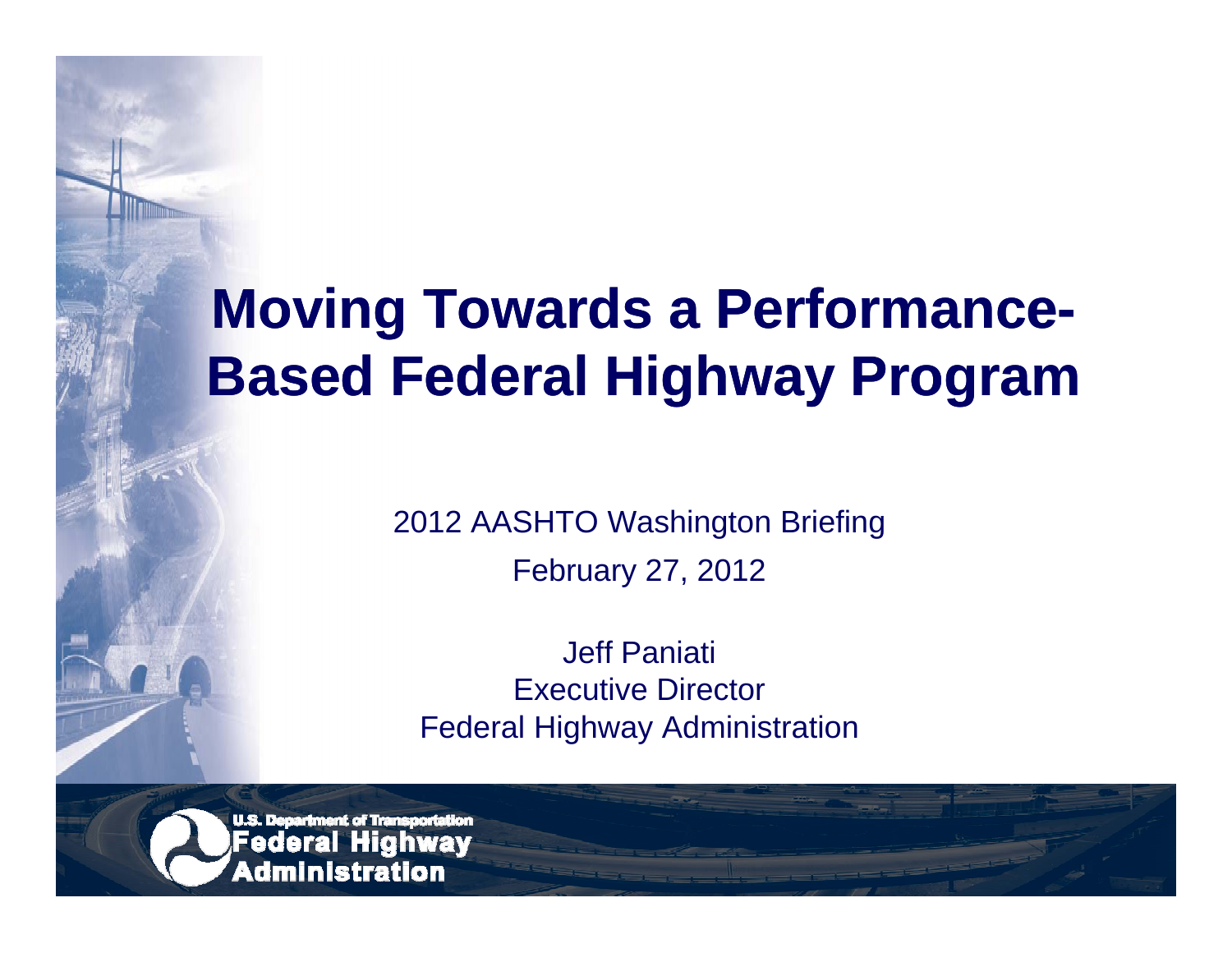# **Moving Towards a Performance-Based Federal Highway Program**

2012 AASHTO Washington Briefing February 27, 2012

Jeff Paniati Executive DirectorFederal Highway Administration

**U.S. Department of Transportation** Federal Highway Administration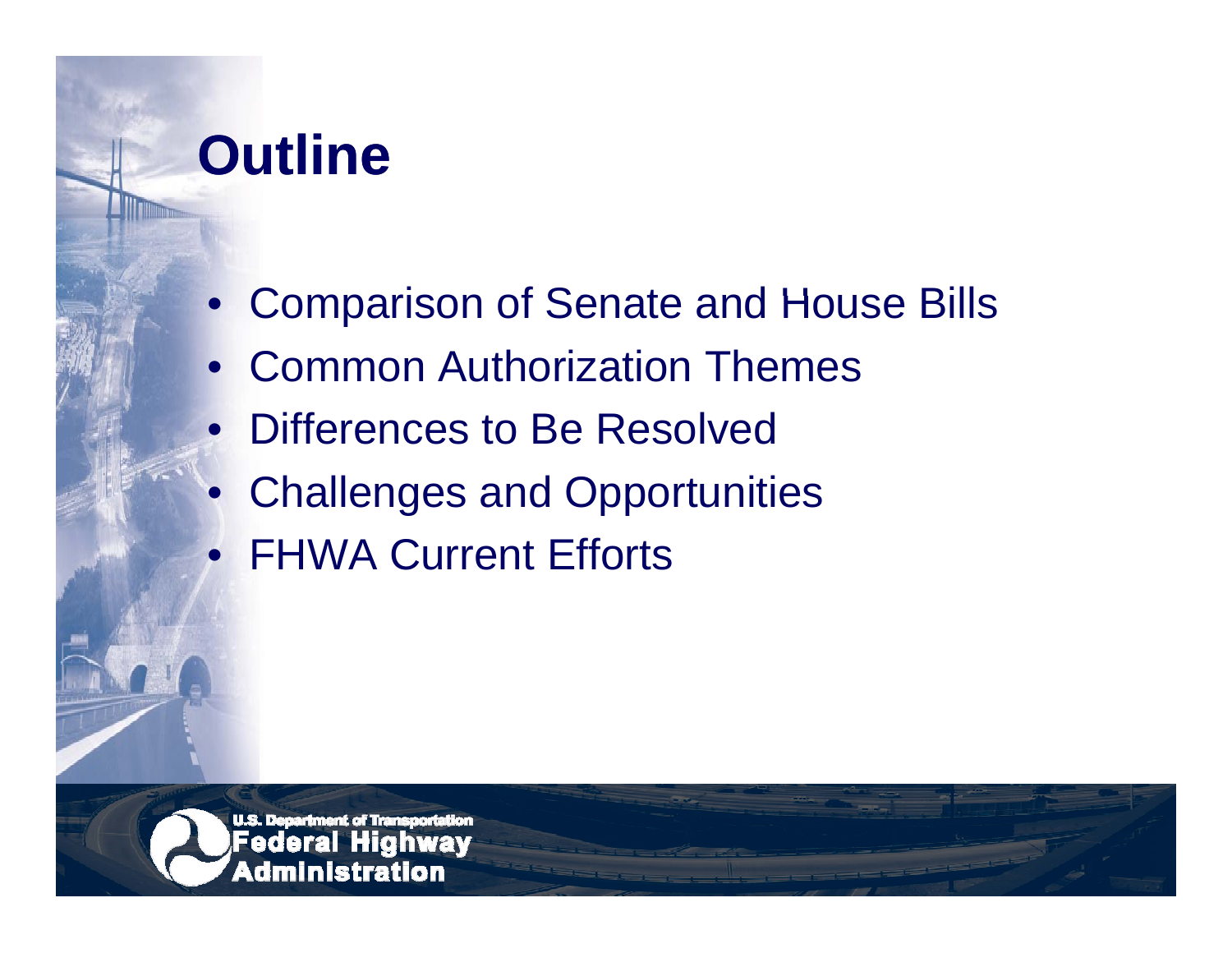### **Outline**

 $\bullet$ 

- Comparison of Senate and House Bills
- Common Authorization Themes
- $\bullet$ • Differences to Be Resolved
	- Challenges and Opportunities
- FHWA Current Efforts

**U.S. Department of Tran** Federal Administration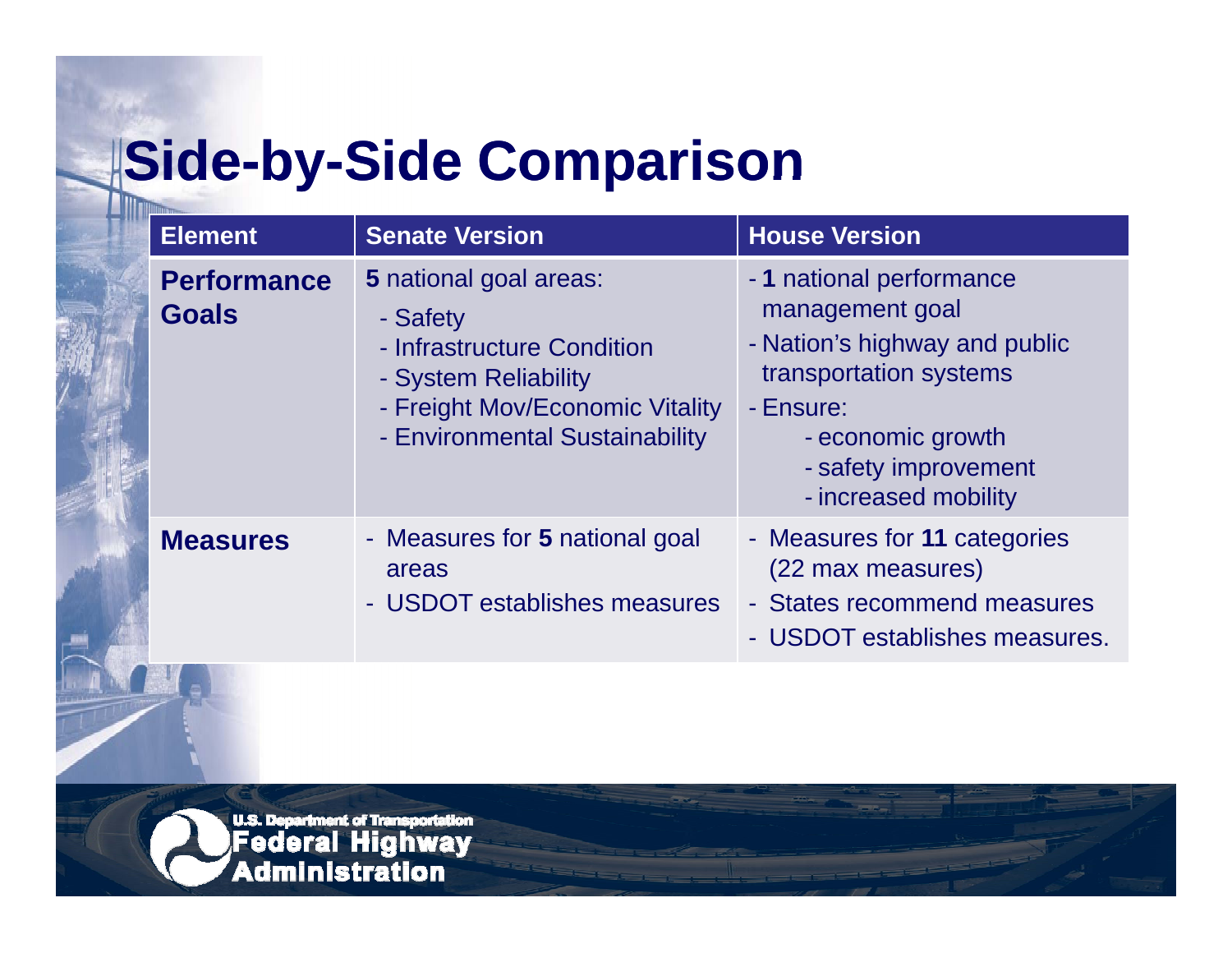# **|Side-by-Side Comparison**

| <b>Element</b>                     | <b>Senate Version</b>                                                                                                                                         | <b>House Version</b>                                                                                                                                                                     |
|------------------------------------|---------------------------------------------------------------------------------------------------------------------------------------------------------------|------------------------------------------------------------------------------------------------------------------------------------------------------------------------------------------|
| <b>Performance</b><br><b>Goals</b> | 5 national goal areas:<br>- Safety<br>- Infrastructure Condition<br>- System Reliability<br>- Freight Mov/Economic Vitality<br>- Environmental Sustainability | - 1 national performance<br>management goal<br>- Nation's highway and public<br>transportation systems<br>- Ensure:<br>- economic growth<br>- safety improvement<br>- increased mobility |
| <b>Measures</b>                    | - Measures for 5 national goal<br>areas<br>- USDOT establishes measures                                                                                       | - Measures for 11 categories<br>(22 max measures)<br>- States recommend measures<br>- USDOT establishes measures.                                                                        |

**u.s. Department of Transportation**<br>**Federal Highway**<br>Administration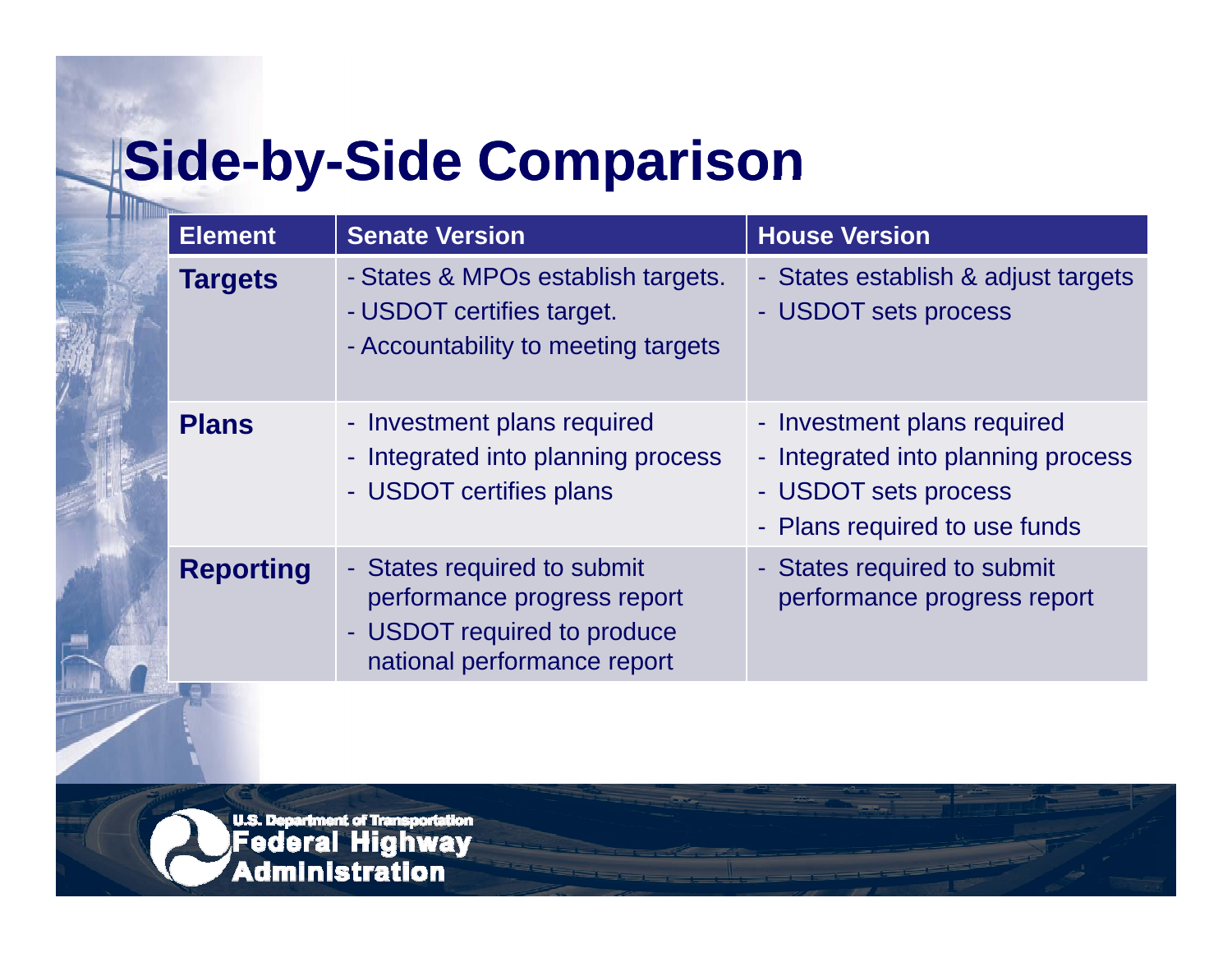# **|Side-by-Side Comparison**

| <b>Element</b>   | <b>Senate Version</b>                                                                                                    | <b>House Version</b>                                                                                                       |
|------------------|--------------------------------------------------------------------------------------------------------------------------|----------------------------------------------------------------------------------------------------------------------------|
| <b>Targets</b>   | - States & MPOs establish targets.<br>- USDOT certifies target.<br>- Accountability to meeting targets                   | - States establish & adjust targets<br>- USDOT sets process                                                                |
| <b>Plans</b>     | - Investment plans required<br>- Integrated into planning process<br>- USDOT certifies plans                             | - Investment plans required<br>- Integrated into planning process<br>- USDOT sets process<br>- Plans required to use funds |
| <b>Reporting</b> | - States required to submit<br>performance progress report<br>- USDOT required to produce<br>national performance report | - States required to submit<br>performance progress report                                                                 |

**u.s. Department of Transportation**<br>**Federal Highway**<br>Administration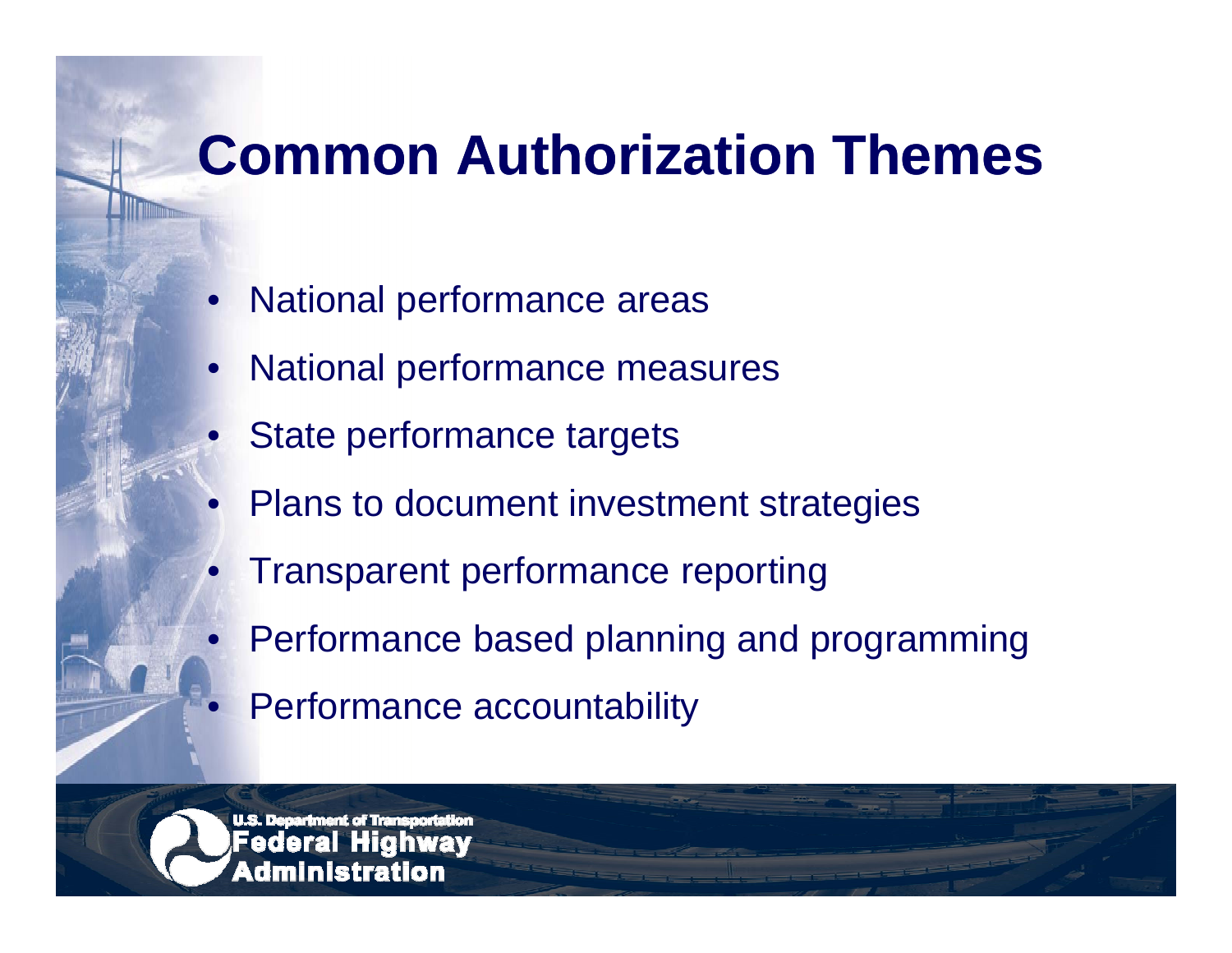### **Common Authorization Themes**

- $\bullet$ National performance areas
- •National performance measures
- •State performance targets
- •Plans to document investment strategies
- •Transparent performance reporting
- $\bullet$ Performance based planning and programming
	- Performance accountability

dministration

 $\bullet$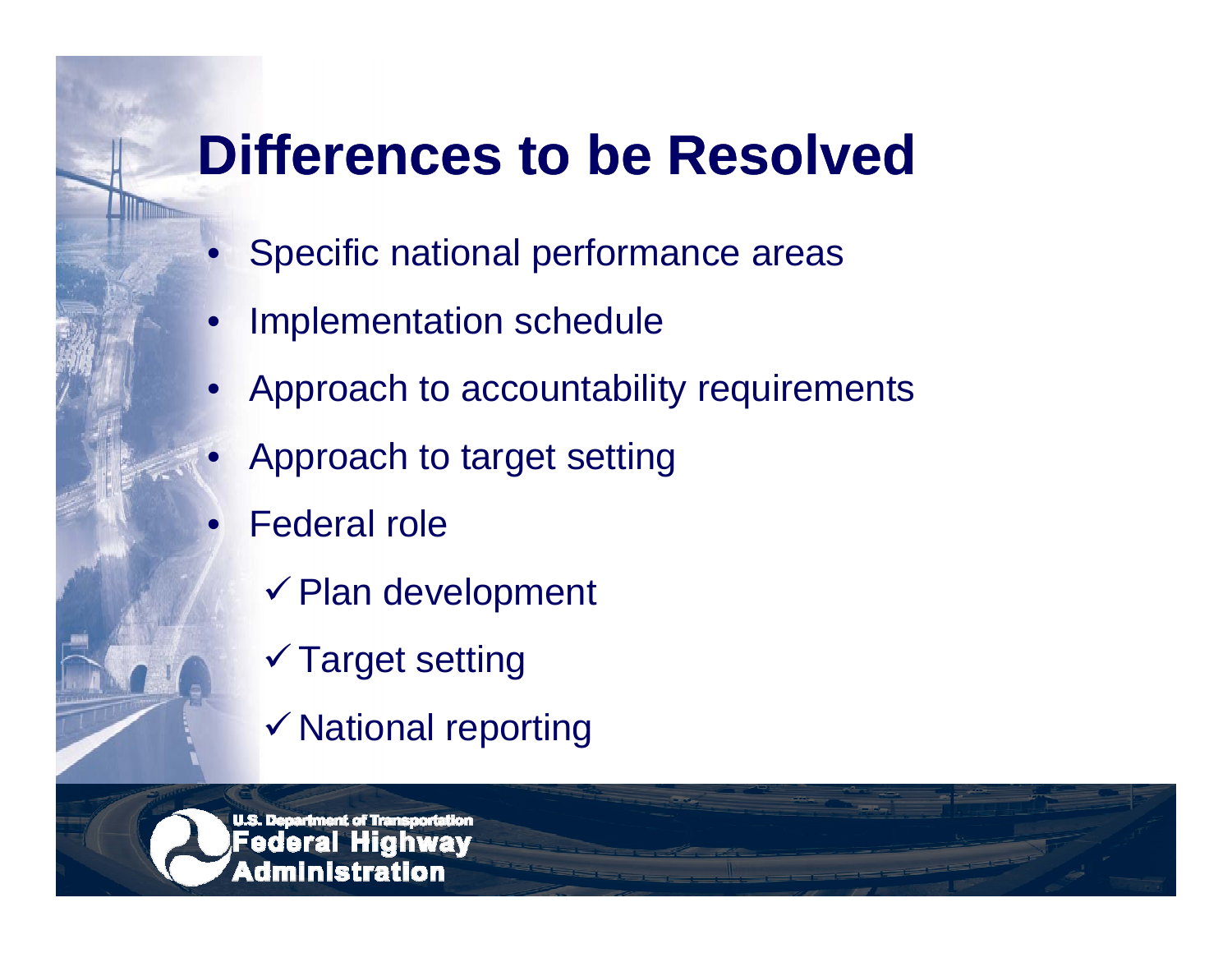#### **Differences to be Resolved**

- Specific national performance areas
- •Implementation schedule
- •Approach to accountability requirements
- •Approach to target setting
- •Federal role

 $\bullet$ 

- $\checkmark$  Plan development
- Target setting
- $\checkmark$  National reporting

<u>U.S. Decartment of Trans</u> dministration.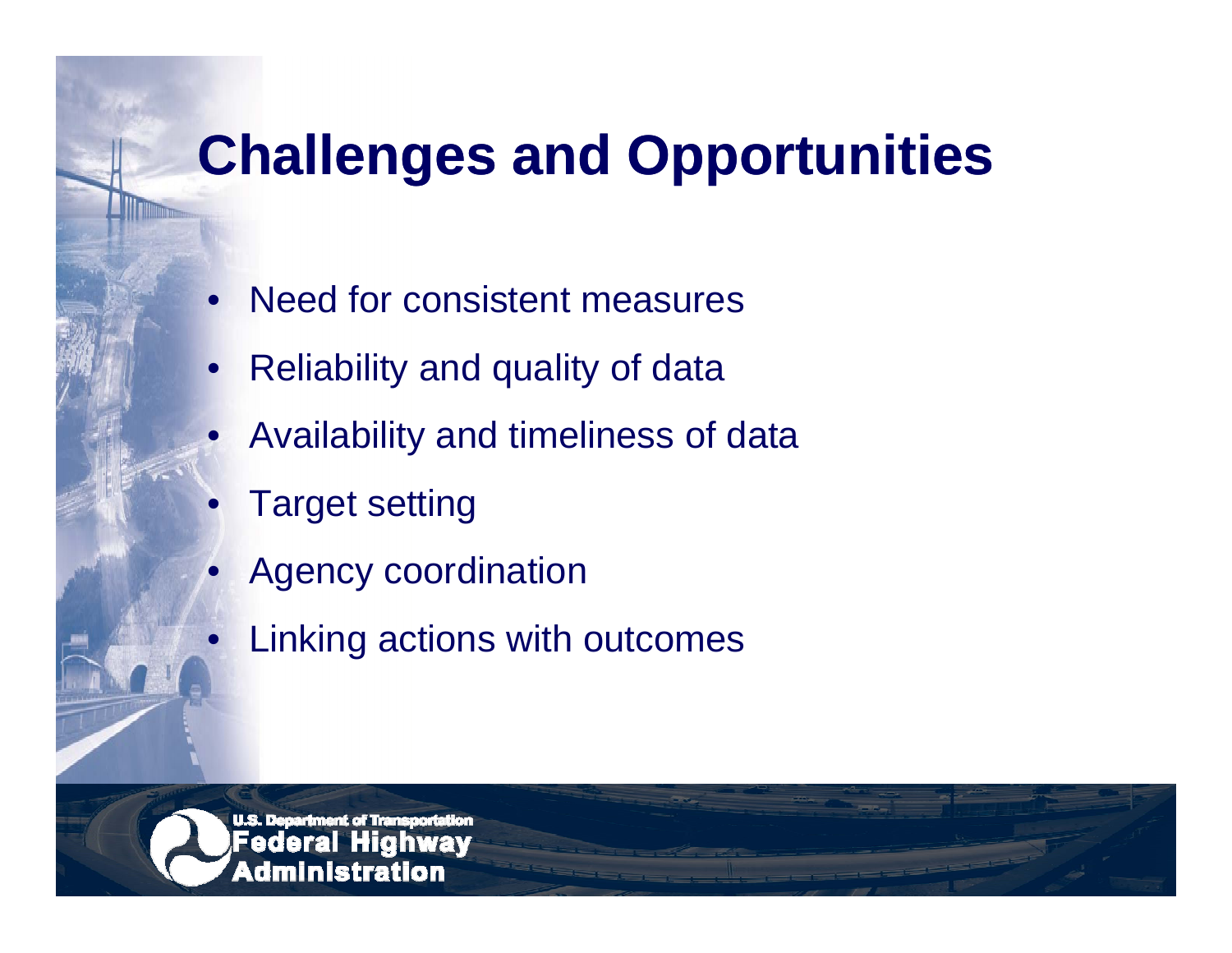## **Challenges and Opportunities**

- $\bullet$ Need for consistent measures
- •Reliability and quality of data
- •Availability and timeliness of data
- •Target setting

 $\bullet$ 

- •Agency coordination
- Linking actions with outcomes

**U.S. Department of Tran** dministration.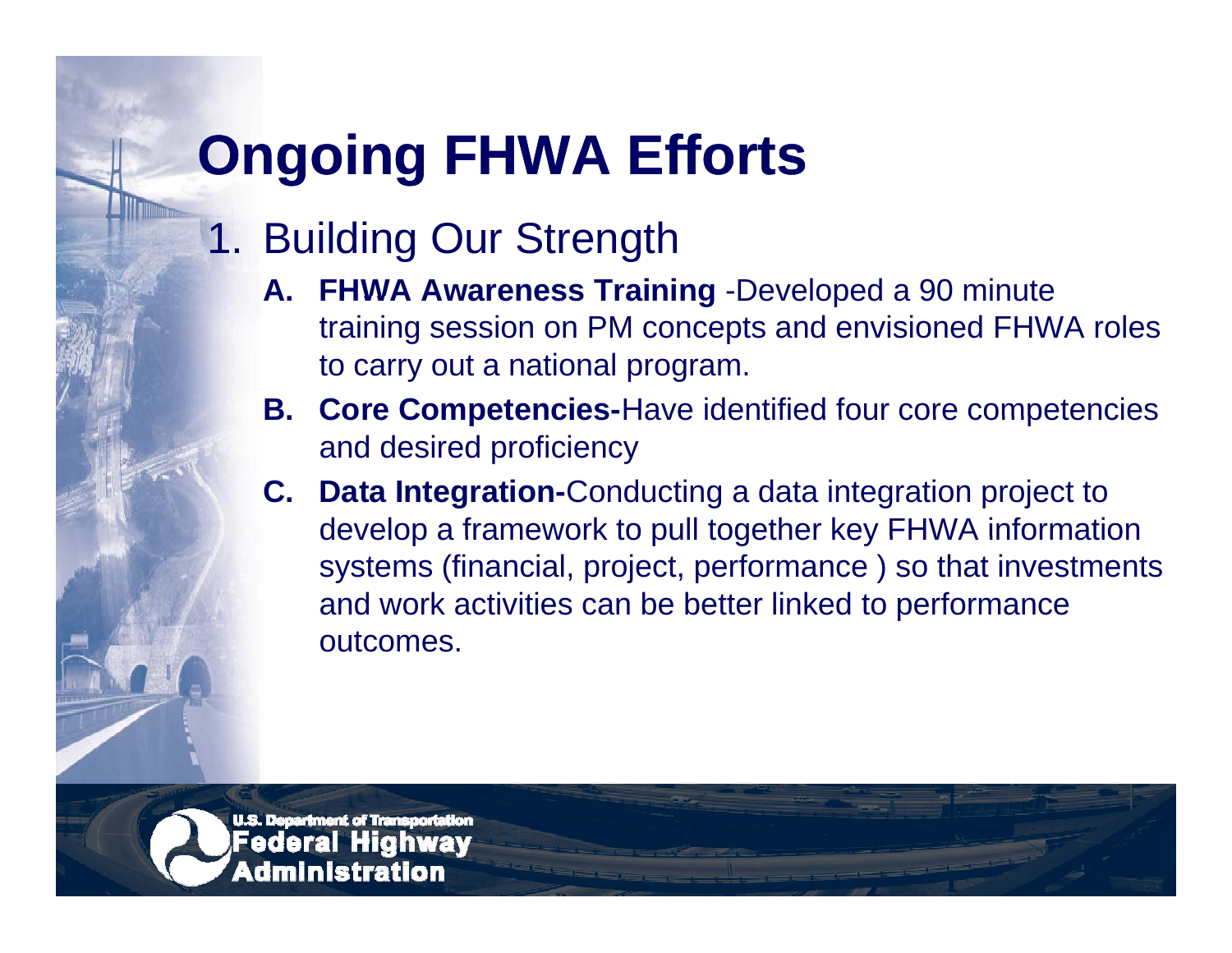# **Ongoing FHWA Efforts**

#### 1. Building Our Strength

- **A. FHWA Awareness Training** -Developed a 90 minute training session on PM concepts and envisioned FHWA roles to carry out a national program.
- **B. Core Competencies Competencies-**Have identified four core competencies and desired proficiency
- **C. Data Integration-**Conducting a data integration project to develop <sup>a</sup> framework to pull together key FHWA information systems (financial, project, performance ) so that investments and work activities can be better linked to performance outcomes.

**U.S. Department of Tran** dministration.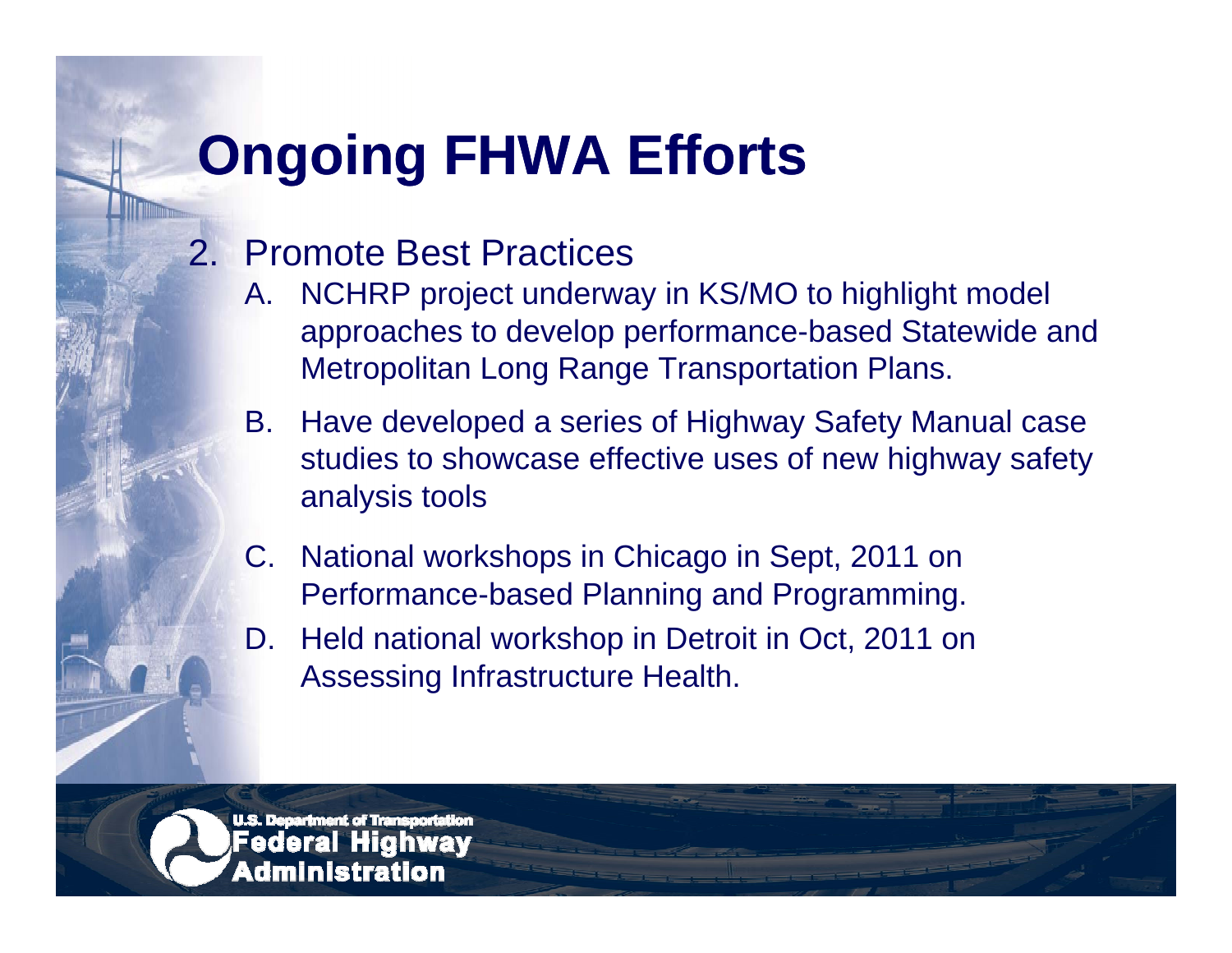# **Ongoing FHWA Efforts**

#### 2. Promote Best Practices

- A. NCHRP project underway in KS/MO to highlight model approaches to develop performance-based Statewide and Metropolitan Long Range Transportation Plans.
- B. Have developed a series of Highway Safety Manual case studies to showcase effective uses of new highway safety analysis tools
- C. National workshops in Chicago in Sept, 2011 on Performance-based Planning and Programming.
- D. Held national workshop in Detroit in Oct, 2011 on Assessing Infrastructure Health.

<u>U.S. Decartment of Transcortation</u> dministration.